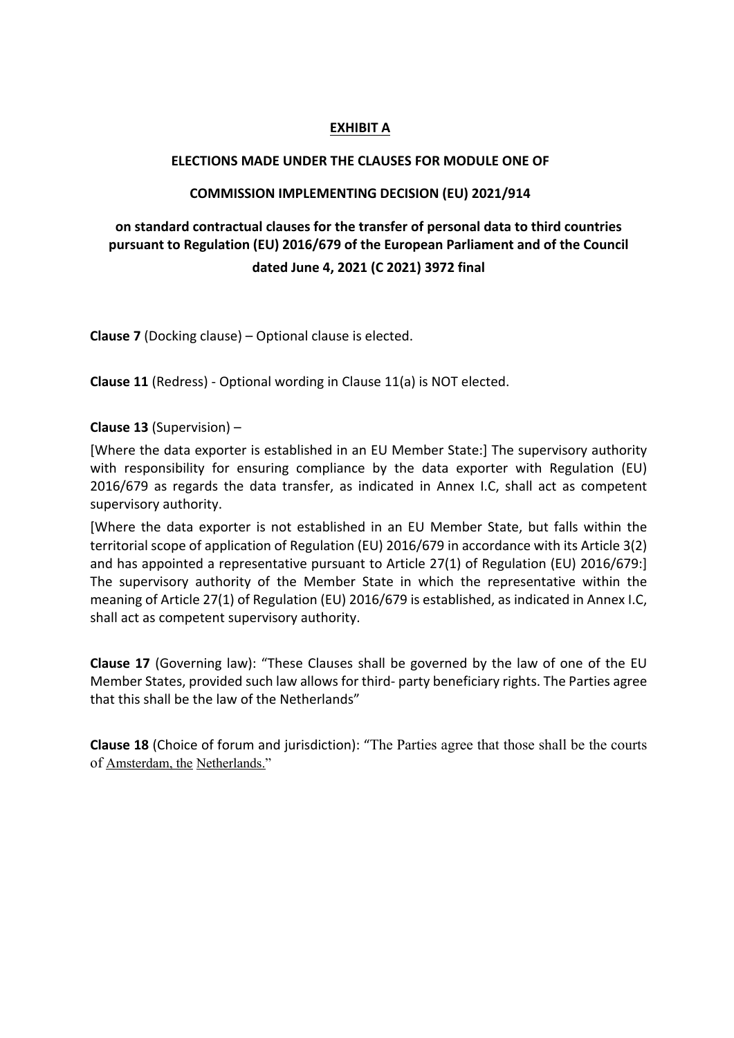### **EXHIBIT A**

#### **ELECTIONS MADE UNDER THE CLAUSES FOR MODULE ONE OF**

### **COMMISSION IMPLEMENTING DECISION (EU) 2021/914**

## **on standard contractual clauses for the transfer of personal data to third countries pursuant to Regulation (EU) 2016/679 of the European Parliament and of the Council dated June 4, 2021 (C 2021) 3972 final**

**Clause 7** (Docking clause) – Optional clause is elected.

**Clause 11** (Redress) - Optional wording in Clause 11(a) is NOT elected.

**Clause 13** (Supervision) –

[Where the data exporter is established in an EU Member State:] The supervisory authority with responsibility for ensuring compliance by the data exporter with Regulation (EU) 2016/679 as regards the data transfer, as indicated in Annex I.C, shall act as competent supervisory authority.

[Where the data exporter is not established in an EU Member State, but falls within the territorial scope of application of Regulation (EU) 2016/679 in accordance with its Article 3(2) and has appointed a representative pursuant to Article 27(1) of Regulation (EU) 2016/679:] The supervisory authority of the Member State in which the representative within the meaning of Article 27(1) of Regulation (EU) 2016/679 is established, as indicated in Annex I.C, shall act as competent supervisory authority.

**Clause 17** (Governing law): "These Clauses shall be governed by the law of one of the EU Member States, provided such law allows for third- party beneficiary rights. The Parties agree that this shall be the law of the Netherlands"

**Clause 18** (Choice of forum and jurisdiction): "The Parties agree that those shall be the courts of Amsterdam, the Netherlands."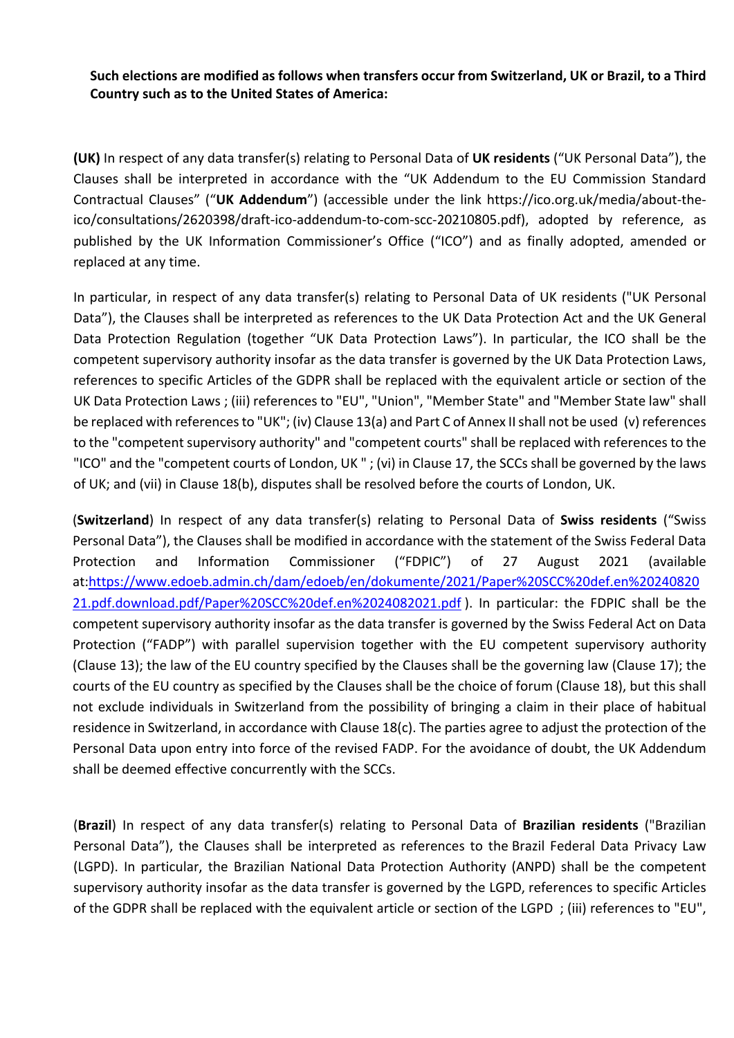**Such elections are modified as follows when transfers occur from Switzerland, UK or Brazil, to a Third Country such as to the United States of America:**

**(UK)** In respect of any data transfer(s) relating to Personal Data of **UK residents** ("UK Personal Data"), the Clauses shall be interpreted in accordance with the "UK Addendum to the EU Commission Standard Contractual Clauses" ("**UK Addendum**") (accessible under the link https://ico.org.uk/media/about-theico/consultations/2620398/draft-ico-addendum-to-com-scc-20210805.pdf), adopted by reference, as published by the UK Information Commissioner's Office ("ICO") and as finally adopted, amended or replaced at any time.

In particular, in respect of any data transfer(s) relating to Personal Data of UK residents ("UK Personal Data"), the Clauses shall be interpreted as references to the UK Data Protection Act and the UK General Data Protection Regulation (together "UK Data Protection Laws"). In particular, the ICO shall be the competent supervisory authority insofar as the data transfer is governed by the UK Data Protection Laws, references to specific Articles of the GDPR shall be replaced with the equivalent article or section of the UK Data Protection Laws ; (iii) references to "EU", "Union", "Member State" and "Member State law" shall be replaced with references to "UK"; (iv) Clause 13(a) and Part C of Annex II shall not be used (v) references to the "competent supervisory authority" and "competent courts" shall be replaced with references to the "ICO" and the "competent courts of London, UK " ; (vi) in Clause 17, the SCCs shall be governed by the laws of UK; and (vii) in Clause 18(b), disputes shall be resolved before the courts of London, UK.

(**Switzerland**) In respect of any data transfer(s) relating to Personal Data of **Swiss residents** ("Swiss Personal Data"), the Clauses shall be modified in accordance with the statement of the Swiss Federal Data Protection and Information Commissioner ("FDPIC") of 27 August 2021 (available at:https://www.edoeb.admin.ch/dam/edoeb/en/dokumente/2021/Paper%20SCC%20def.en%20240820 21.pdf.download.pdf/Paper%20SCC%20def.en%2024082021.pdf ). In particular: the FDPIC shall be the competent supervisory authority insofar as the data transfer is governed by the Swiss Federal Act on Data Protection ("FADP") with parallel supervision together with the EU competent supervisory authority (Clause 13); the law of the EU country specified by the Clauses shall be the governing law (Clause 17); the courts of the EU country as specified by the Clauses shall be the choice of forum (Clause 18), but this shall not exclude individuals in Switzerland from the possibility of bringing a claim in their place of habitual residence in Switzerland, in accordance with Clause 18(c). The parties agree to adjust the protection of the Personal Data upon entry into force of the revised FADP. For the avoidance of doubt, the UK Addendum shall be deemed effective concurrently with the SCCs.

(**Brazil**) In respect of any data transfer(s) relating to Personal Data of **Brazilian residents** ("Brazilian Personal Data"), the Clauses shall be interpreted as references to the Brazil Federal Data Privacy Law (LGPD). In particular, the Brazilian National Data Protection Authority (ANPD) shall be the competent supervisory authority insofar as the data transfer is governed by the LGPD, references to specific Articles of the GDPR shall be replaced with the equivalent article or section of the LGPD ; (iii) references to "EU",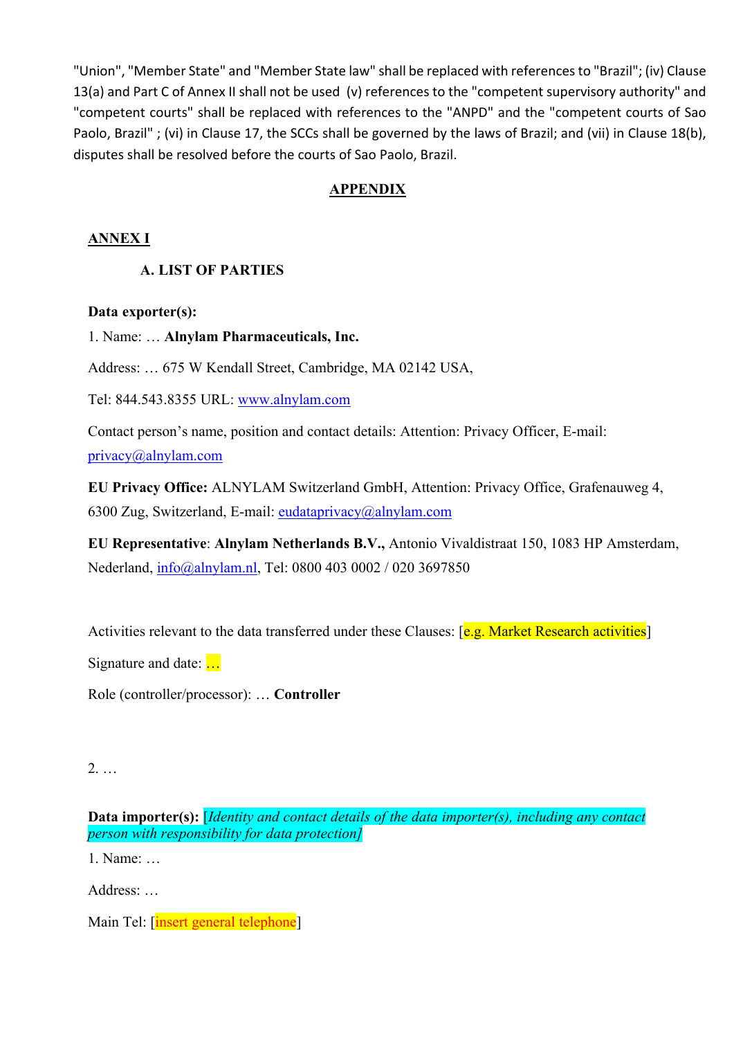"Union", "Member State" and "Member State law" shall be replaced with references to "Brazil"; (iv) Clause 13(a) and Part C of Annex II shall not be used (v) references to the "competent supervisory authority" and "competent courts" shall be replaced with references to the "ANPD" and the "competent courts of Sao Paolo, Brazil" ; (vi) in Clause 17, the SCCs shall be governed by the laws of Brazil; and (vii) in Clause 18(b), disputes shall be resolved before the courts of Sao Paolo, Brazil.

## **APPENDIX**

## **ANNEX I**

## **A. LIST OF PARTIES**

### **Data exporter(s):**

1. Name: … **Alnylam Pharmaceuticals, Inc.**

Address: … 675 W Kendall Street, Cambridge, MA 02142 USA,

Tel: 844.543.8355 URL: www.alnylam.com

Contact person's name, position and contact details: Attention: Privacy Officer, E-mail: privacy@alnylam.com

**EU Privacy Office:** ALNYLAM Switzerland GmbH, Attention: Privacy Office, Grafenauweg 4, 6300 Zug, Switzerland, E-mail: eudataprivacy@alnylam.com

**EU Representative**: **Alnylam Netherlands B.V.,** Antonio Vivaldistraat 150, 1083 HP Amsterdam, Nederland, info@alnylam.nl, Tel: 0800 403 0002 / 020 3697850

Activities relevant to the data transferred under these Clauses: [e.g. Market Research activities]

Signature and date: …

Role (controller/processor): … **Controller**

2. …

**Data importer(s):** [*Identity and contact details of the data importer(s), including any contact person with responsibility for data protection]*

1. Name: …

Address: …

Main Tel: [insert general telephone]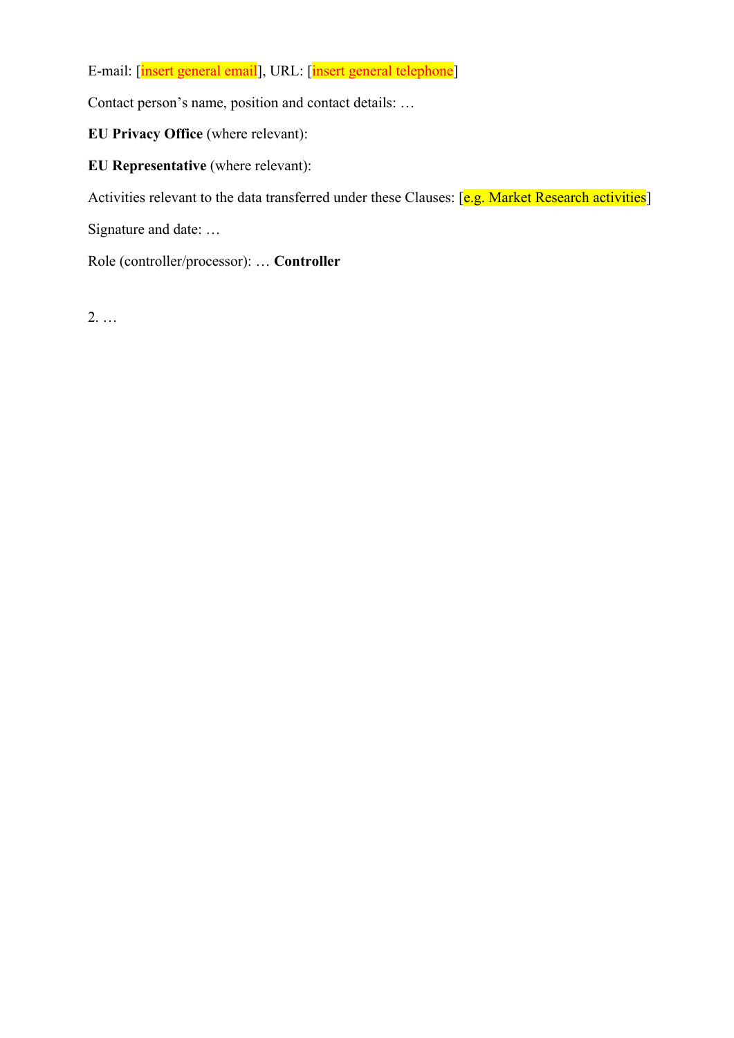E-mail: [insert general email], URL: [insert general telephone]

Contact person's name, position and contact details: …

**EU Privacy Office** (where relevant):

**EU Representative** (where relevant):

Activities relevant to the data transferred under these Clauses: [e.g. Market Research activities]

Signature and date: …

Role (controller/processor): … **Controller**

2. …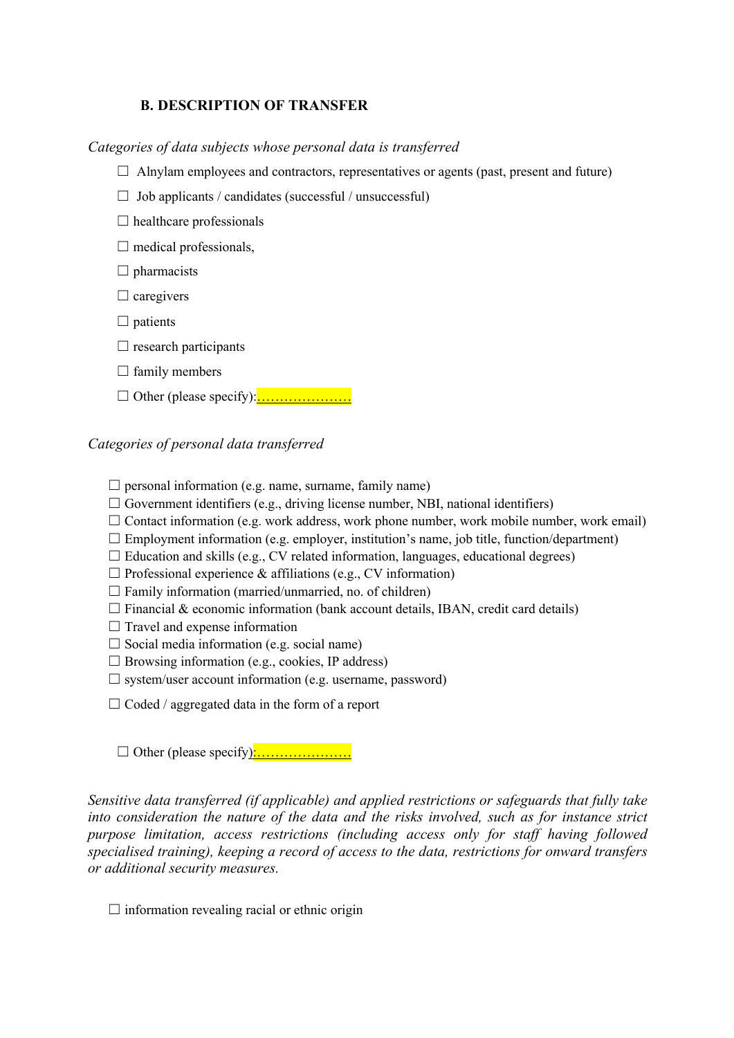### **B. DESCRIPTION OF TRANSFER**

*Categories of data subjects whose personal data is transferred*

- $\Box$  Alnylam employees and contractors, representatives or agents (past, present and future)
- $\Box$  Job applicants / candidates (successful / unsuccessful)
- $\Box$  healthcare professionals
- $\Box$  medical professionals,
- $\Box$  pharmacists
- $\Box$  caregivers
- $\Box$  patients
- $\Box$  research participants
- $\Box$  family members
- $\Box$  Other (please specify): $\frac{\ldots}{\ldots}$

#### *Categories of personal data transferred*

 $\Box$  personal information (e.g. name, surname, family name)

- $\Box$  Government identifiers (e.g., driving license number, NBI, national identifiers)
- $\Box$  Contact information (e.g. work address, work phone number, work mobile number, work email)
- $\Box$  Employment information (e.g. employer, institution's name, job title, function/department)
- $\Box$  Education and skills (e.g., CV related information, languages, educational degrees)
- $\Box$  Professional experience & affiliations (e.g., CV information)
- $\Box$  Family information (married/unmarried, no. of children)
- $\Box$  Financial & economic information (bank account details, IBAN, credit card details)
- $\Box$  Travel and expense information
- $\Box$  Social media information (e.g. social name)
- $\Box$  Browsing information (e.g., cookies, IP address)
- $\square$  system/user account information (e.g. username, password)
- $\Box$  Coded / aggregated data in the form of a report

☐ Other (please specify):…………………

*Sensitive data transferred (if applicable) and applied restrictions or safeguards that fully take into consideration the nature of the data and the risks involved, such as for instance strict purpose limitation, access restrictions (including access only for staff having followed specialised training), keeping a record of access to the data, restrictions for onward transfers or additional security measures.*

 $\Box$  information revealing racial or ethnic origin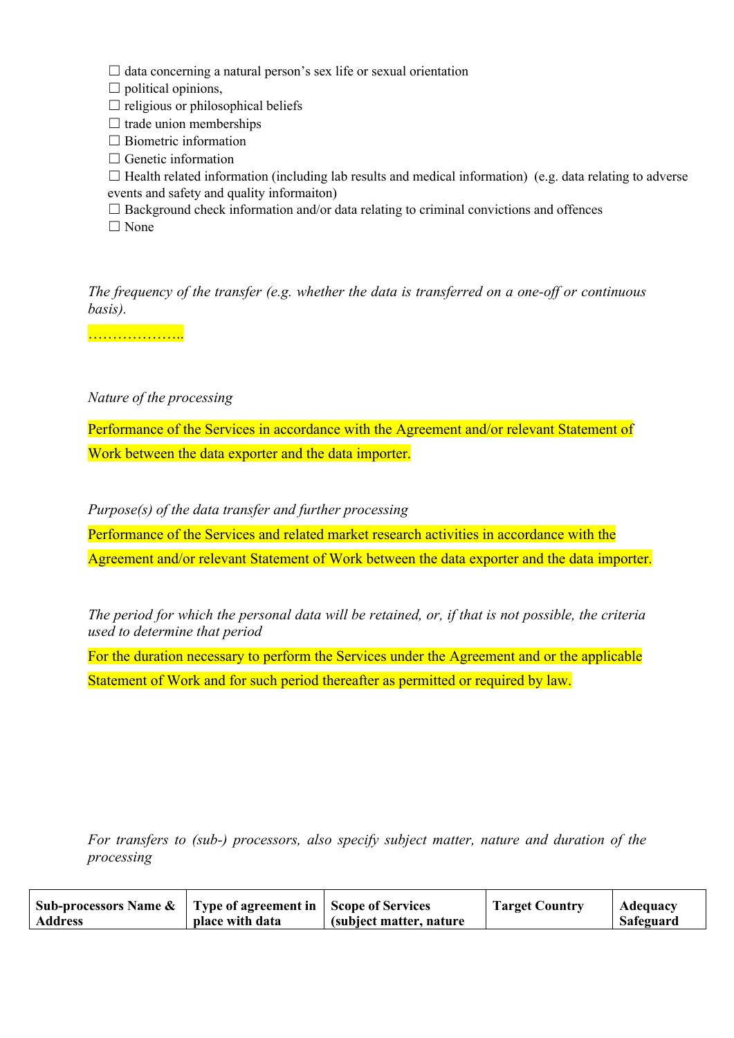$\Box$  data concerning a natural person's sex life or sexual orientation

 $\Box$  political opinions,

 $\Box$  religious or philosophical beliefs

 $\Box$  trade union memberships

 $\Box$  Biometric information

 $\Box$  Genetic information

☐ Health related information (including lab results and medical information) (e.g. data relating to adverse events and safety and quality informaiton)

 $\Box$  Background check information and/or data relating to criminal convictions and offences □ None

*The frequency of the transfer (e.g. whether the data is transferred on a one-off or continuous basis).*

……………………

*Nature of the processing*

Performance of the Services in accordance with the Agreement and/or relevant Statement of Work between the data exporter and the data importer.

*Purpose(s) of the data transfer and further processing*

Performance of the Services and related market research activities in accordance with the Agreement and/or relevant Statement of Work between the data exporter and the data importer.

*The period for which the personal data will be retained, or, if that is not possible, the criteria used to determine that period*

For the duration necessary to perform the Services under the Agreement and or the applicable Statement of Work and for such period thereafter as permitted or required by law.

*For transfers to (sub-) processors, also specify subject matter, nature and duration of the processing*

| Sub-processors Name $\&$   Type of agreement in   Scope of Services |                 |                          | <b>Target Country</b> | Adequacy  |
|---------------------------------------------------------------------|-----------------|--------------------------|-----------------------|-----------|
| <b>Address</b>                                                      | place with data | (subject matter, nature) |                       | Safeguard |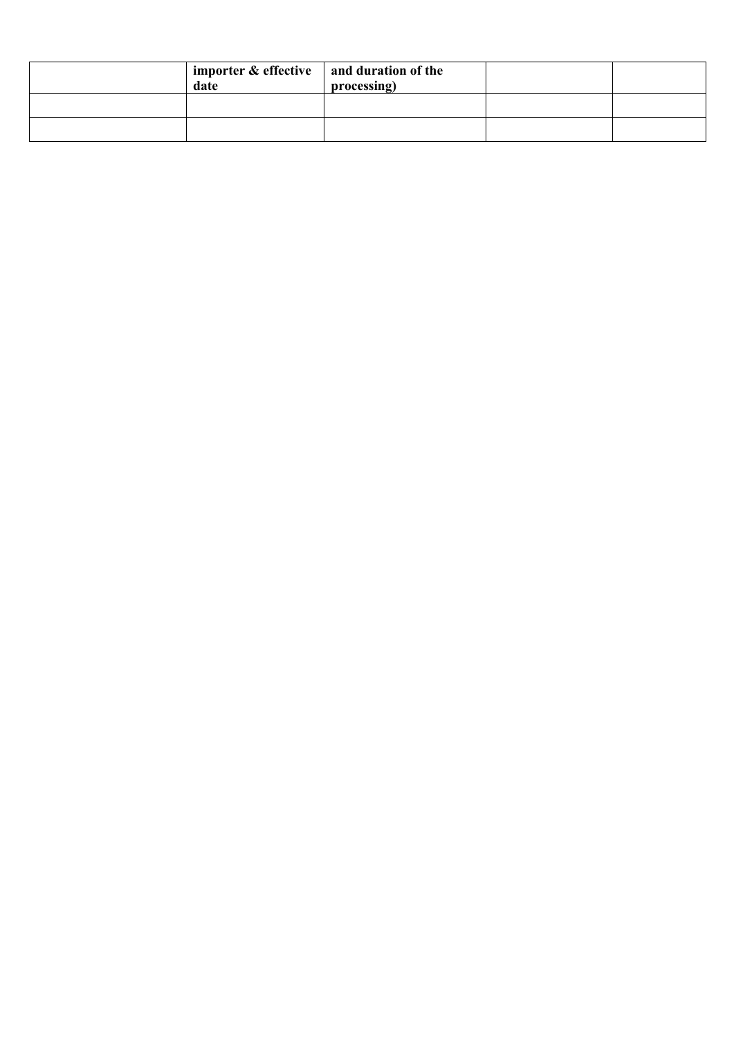| importer $\&$ effective $\parallel$ and duration of the<br>date | processing) |  |
|-----------------------------------------------------------------|-------------|--|
|                                                                 |             |  |
|                                                                 |             |  |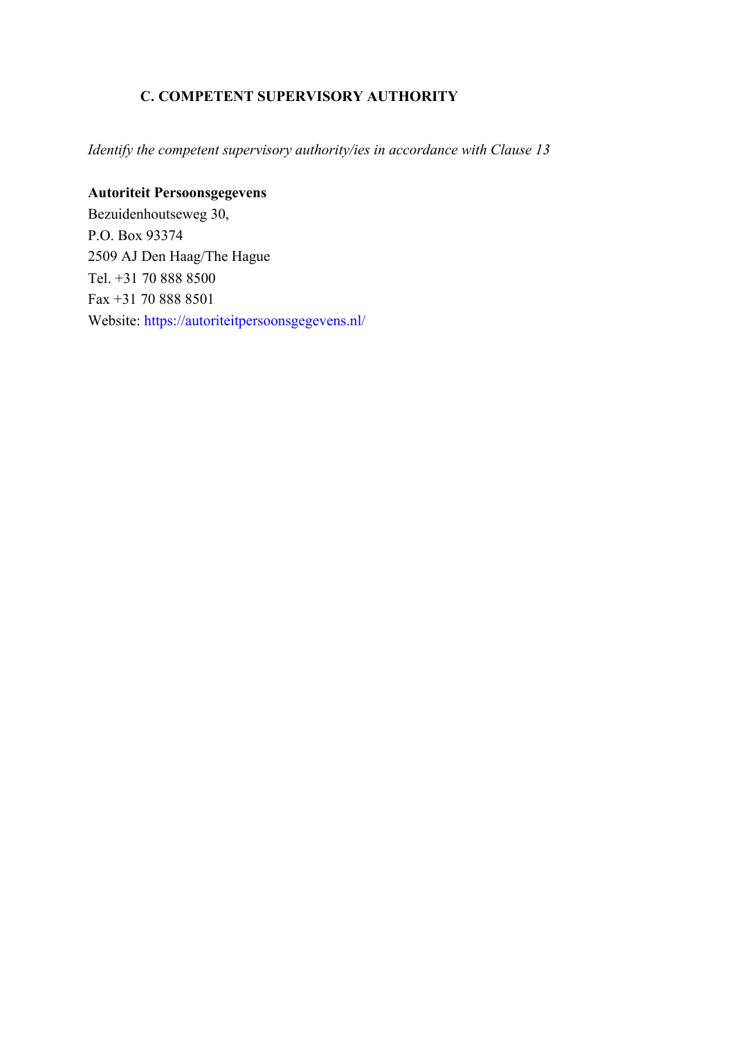## **C. COMPETENT SUPERVISORY AUTHORITY**

*Identify the competent supervisory authority/ies in accordance with Clause 13*

# **Autoriteit Persoonsgegevens**

Bezuidenhoutseweg 30, P.O. Box 93374 2509 AJ Den Haag/The Hague Tel. +31 70 888 8500 Fax +31 70 888 8501 Website: https://autoriteitpersoonsgegevens.nl/